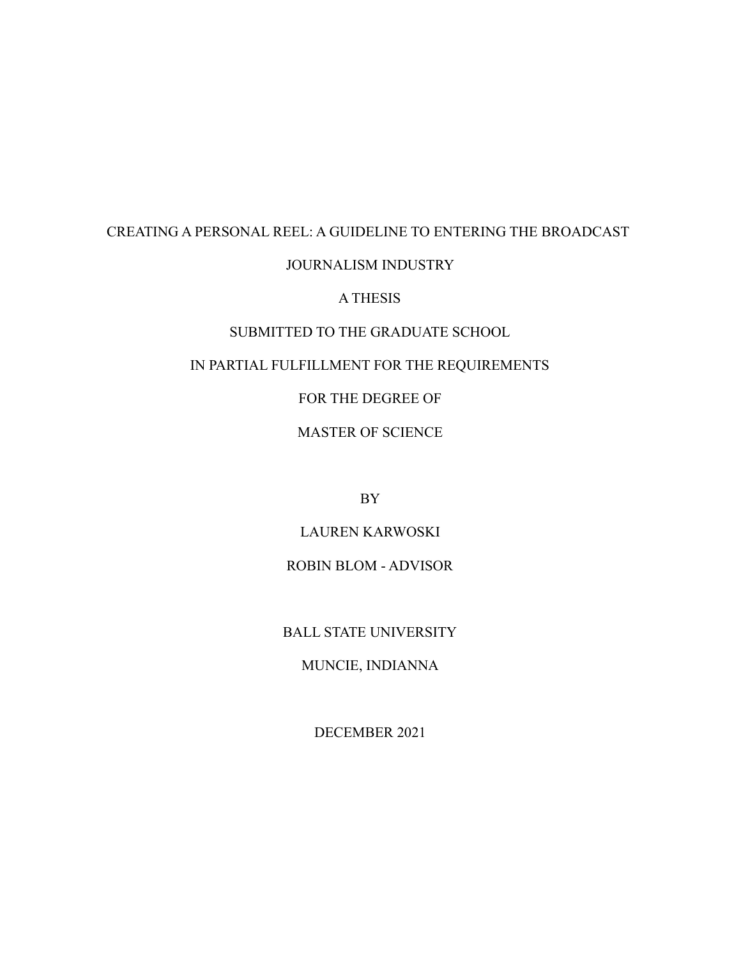# CREATING A PERSONAL REEL: A GUIDELINE TO ENTERING THE BROADCAST

### JOURNALISM INDUSTRY

## A THESIS

### SUBMITTED TO THE GRADUATE SCHOOL

## IN PARTIAL FULFILLMENT FOR THE REQUIREMENTS

FOR THE DEGREE OF

MASTER OF SCIENCE

BY

LAUREN KARWOSKI

# ROBIN BLOM - ADVISOR

BALL STATE UNIVERSITY

MUNCIE, INDIANNA

DECEMBER 2021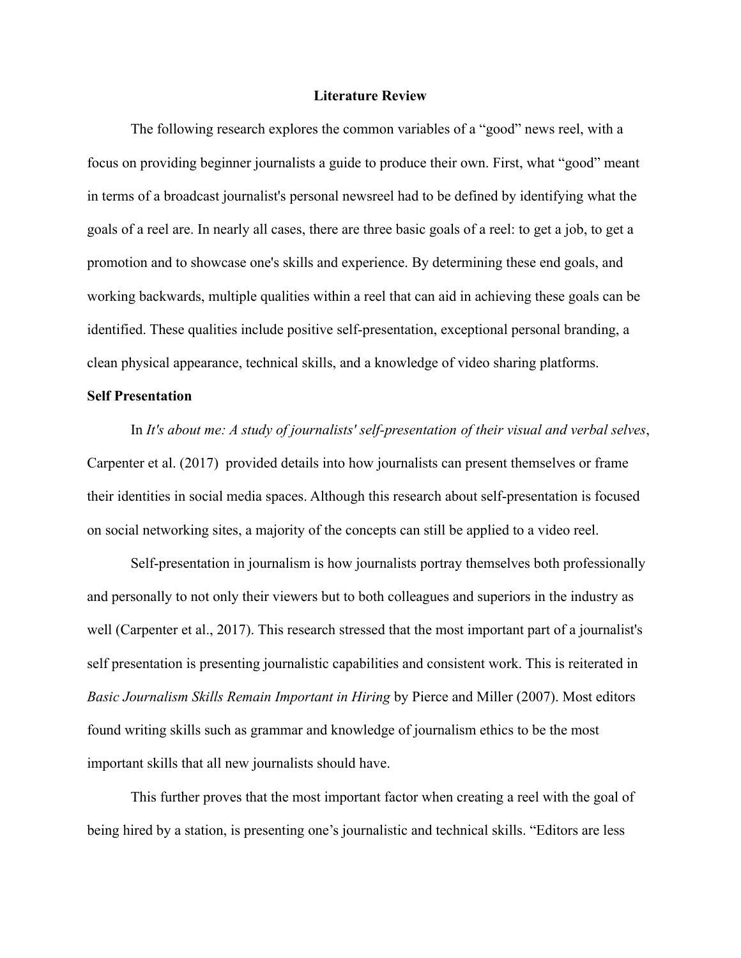#### **Literature Review**

The following research explores the common variables of a "good" news reel, with a focus on providing beginner journalists a guide to produce their own. First, what "good" meant in terms of a broadcast journalist's personal newsreel had to be defined by identifying what the goals of a reel are. In nearly all cases, there are three basic goals of a reel: to get a job, to get a promotion and to showcase one's skills and experience. By determining these end goals, and working backwards, multiple qualities within a reel that can aid in achieving these goals can be identified. These qualities include positive self-presentation, exceptional personal branding, a clean physical appearance, technical skills, and a knowledge of video sharing platforms.

#### **Self Presentation**

In *It's about me: A study of journalists' self-presentation of their visual and verbal selves*, Carpenter et al. (2017) provided details into how journalists can present themselves or frame their identities in social media spaces. Although this research about self-presentation is focused on social networking sites, a majority of the concepts can still be applied to a video reel.

Self-presentation in journalism is how journalists portray themselves both professionally and personally to not only their viewers but to both colleagues and superiors in the industry as well (Carpenter et al., 2017). This research stressed that the most important part of a journalist's self presentation is presenting journalistic capabilities and consistent work. This is reiterated in *Basic Journalism Skills Remain Important in Hiring* by Pierce and Miller (2007). Most editors found writing skills such as grammar and knowledge of journalism ethics to be the most important skills that all new journalists should have.

This further proves that the most important factor when creating a reel with the goal of being hired by a station, is presenting one's journalistic and technical skills. "Editors are less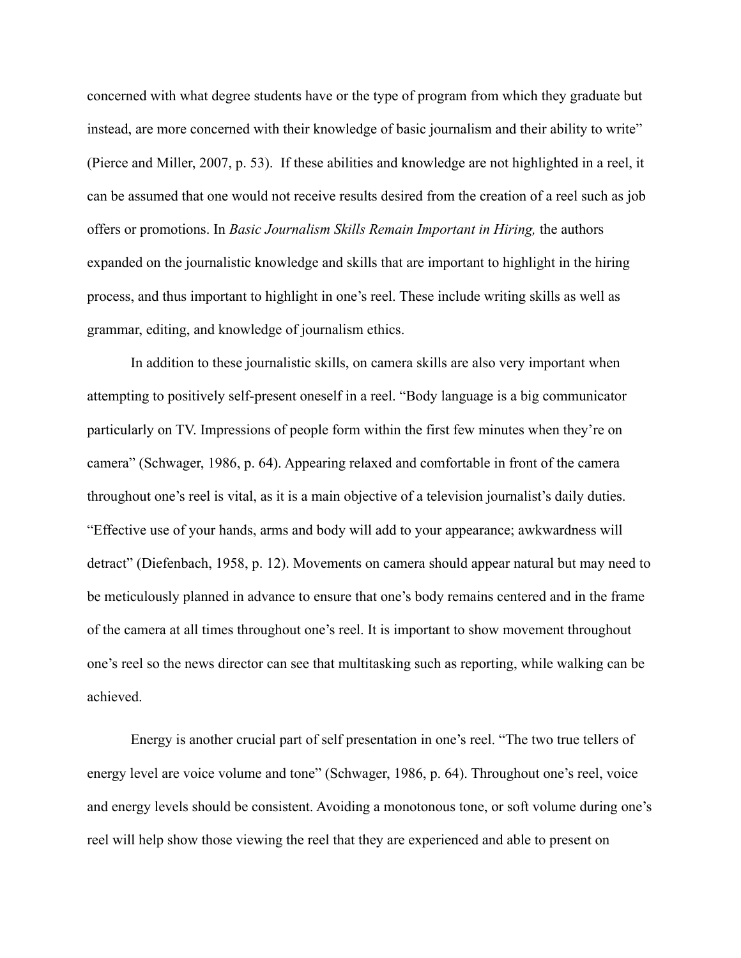concerned with what degree students have or the type of program from which they graduate but instead, are more concerned with their knowledge of basic journalism and their ability to write" (Pierce and Miller, 2007, p. 53). If these abilities and knowledge are not highlighted in a reel, it can be assumed that one would not receive results desired from the creation of a reel such as job offers or promotions. In *Basic Journalism Skills Remain Important in Hiring,* the authors expanded on the journalistic knowledge and skills that are important to highlight in the hiring process, and thus important to highlight in one's reel. These include writing skills as well as grammar, editing, and knowledge of journalism ethics.

In addition to these journalistic skills, on camera skills are also very important when attempting to positively self-present oneself in a reel. "Body language is a big communicator particularly on TV. Impressions of people form within the first few minutes when they're on camera" (Schwager, 1986, p. 64). Appearing relaxed and comfortable in front of the camera throughout one's reel is vital, as it is a main objective of a television journalist's daily duties. "Effective use of your hands, arms and body will add to your appearance; awkwardness will detract" (Diefenbach, 1958, p. 12). Movements on camera should appear natural but may need to be meticulously planned in advance to ensure that one's body remains centered and in the frame of the camera at all times throughout one's reel. It is important to show movement throughout one's reel so the news director can see that multitasking such as reporting, while walking can be achieved.

Energy is another crucial part of self presentation in one's reel. "The two true tellers of energy level are voice volume and tone" (Schwager, 1986, p. 64). Throughout one's reel, voice and energy levels should be consistent. Avoiding a monotonous tone, or soft volume during one's reel will help show those viewing the reel that they are experienced and able to present on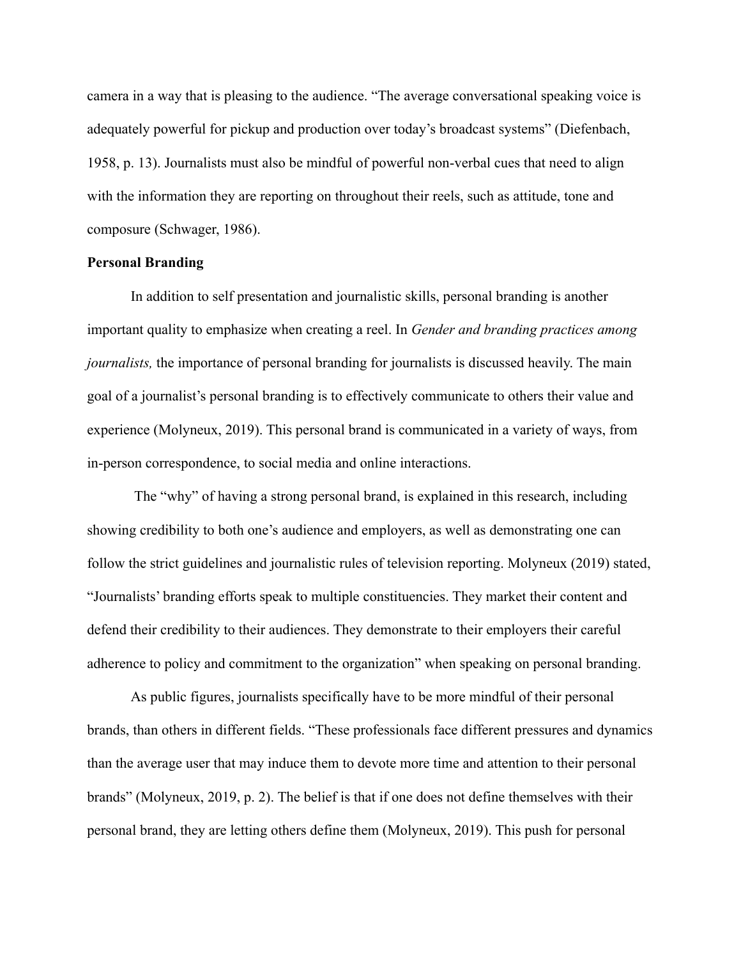camera in a way that is pleasing to the audience. "The average conversational speaking voice is adequately powerful for pickup and production over today's broadcast systems" (Diefenbach, 1958, p. 13). Journalists must also be mindful of powerful non-verbal cues that need to align with the information they are reporting on throughout their reels, such as attitude, tone and composure (Schwager, 1986).

#### **Personal Branding**

In addition to self presentation and journalistic skills, personal branding is another important quality to emphasize when creating a reel. In *Gender and branding practices among journalists*, the importance of personal branding for journalists is discussed heavily. The main goal of a journalist's personal branding is to effectively communicate to others their value and experience (Molyneux, 2019). This personal brand is communicated in a variety of ways, from in-person correspondence, to social media and online interactions.

The "why" of having a strong personal brand, is explained in this research, including showing credibility to both one's audience and employers, as well as demonstrating one can follow the strict guidelines and journalistic rules of television reporting. Molyneux (2019) stated, "Journalists' branding efforts speak to multiple constituencies. They market their content and defend their credibility to their audiences. They demonstrate to their employers their careful adherence to policy and commitment to the organization" when speaking on personal branding.

As public figures, journalists specifically have to be more mindful of their personal brands, than others in different fields. "These professionals face different pressures and dynamics than the average user that may induce them to devote more time and attention to their personal brands" (Molyneux, 2019, p. 2). The belief is that if one does not define themselves with their personal brand, they are letting others define them (Molyneux, 2019). This push for personal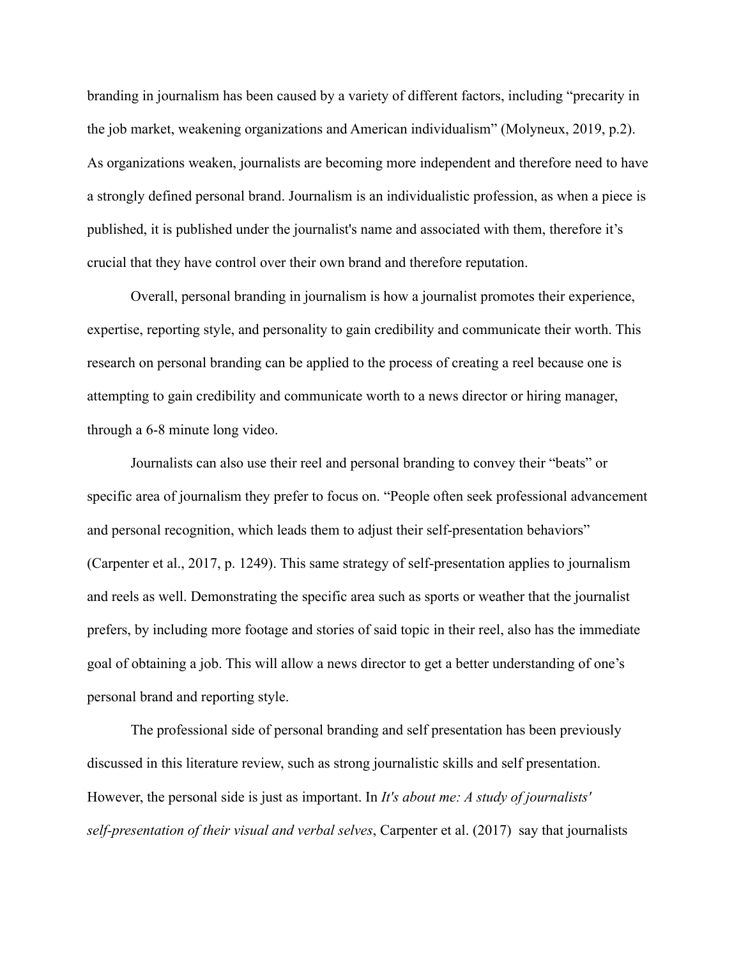branding in journalism has been caused by a variety of different factors, including "precarity in the job market, weakening organizations and American individualism" (Molyneux, 2019, p.2). As organizations weaken, journalists are becoming more independent and therefore need to have a strongly defined personal brand. Journalism is an individualistic profession, as when a piece is published, it is published under the journalist's name and associated with them, therefore it's crucial that they have control over their own brand and therefore reputation.

Overall, personal branding in journalism is how a journalist promotes their experience, expertise, reporting style, and personality to gain credibility and communicate their worth. This research on personal branding can be applied to the process of creating a reel because one is attempting to gain credibility and communicate worth to a news director or hiring manager, through a 6-8 minute long video.

Journalists can also use their reel and personal branding to convey their "beats" or specific area of journalism they prefer to focus on. "People often seek professional advancement and personal recognition, which leads them to adjust their self-presentation behaviors" (Carpenter et al., 2017, p. 1249). This same strategy of self-presentation applies to journalism and reels as well. Demonstrating the specific area such as sports or weather that the journalist prefers, by including more footage and stories of said topic in their reel, also has the immediate goal of obtaining a job. This will allow a news director to get a better understanding of one's personal brand and reporting style.

The professional side of personal branding and self presentation has been previously discussed in this literature review, such as strong journalistic skills and self presentation. However, the personal side is just as important. In *It's about me: A study of journalists' self-presentation of their visual and verbal selves*, Carpenter et al. (2017) say that journalists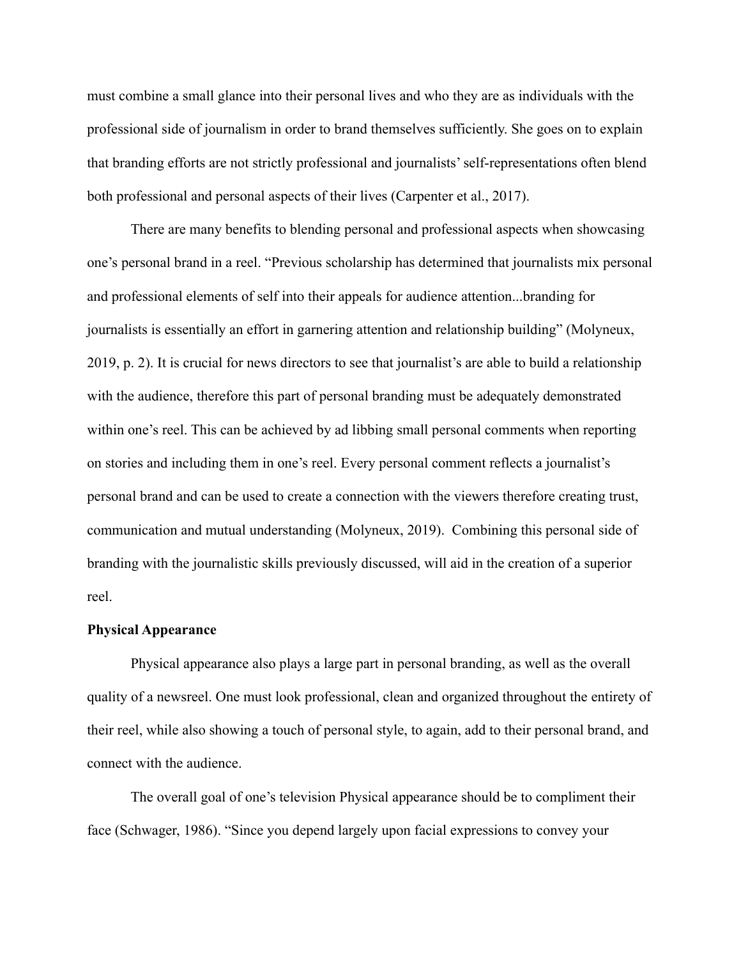must combine a small glance into their personal lives and who they are as individuals with the professional side of journalism in order to brand themselves sufficiently. She goes on to explain that branding efforts are not strictly professional and journalists' self-representations often blend both professional and personal aspects of their lives (Carpenter et al., 2017).

There are many benefits to blending personal and professional aspects when showcasing one's personal brand in a reel. "Previous scholarship has determined that journalists mix personal and professional elements of self into their appeals for audience attention...branding for journalists is essentially an effort in garnering attention and relationship building" (Molyneux, 2019, p. 2). It is crucial for news directors to see that journalist's are able to build a relationship with the audience, therefore this part of personal branding must be adequately demonstrated within one's reel. This can be achieved by ad libbing small personal comments when reporting on stories and including them in one's reel. Every personal comment reflects a journalist's personal brand and can be used to create a connection with the viewers therefore creating trust, communication and mutual understanding (Molyneux, 2019). Combining this personal side of branding with the journalistic skills previously discussed, will aid in the creation of a superior reel.

#### **Physical Appearance**

Physical appearance also plays a large part in personal branding, as well as the overall quality of a newsreel. One must look professional, clean and organized throughout the entirety of their reel, while also showing a touch of personal style, to again, add to their personal brand, and connect with the audience.

The overall goal of one's television Physical appearance should be to compliment their face (Schwager, 1986). "Since you depend largely upon facial expressions to convey your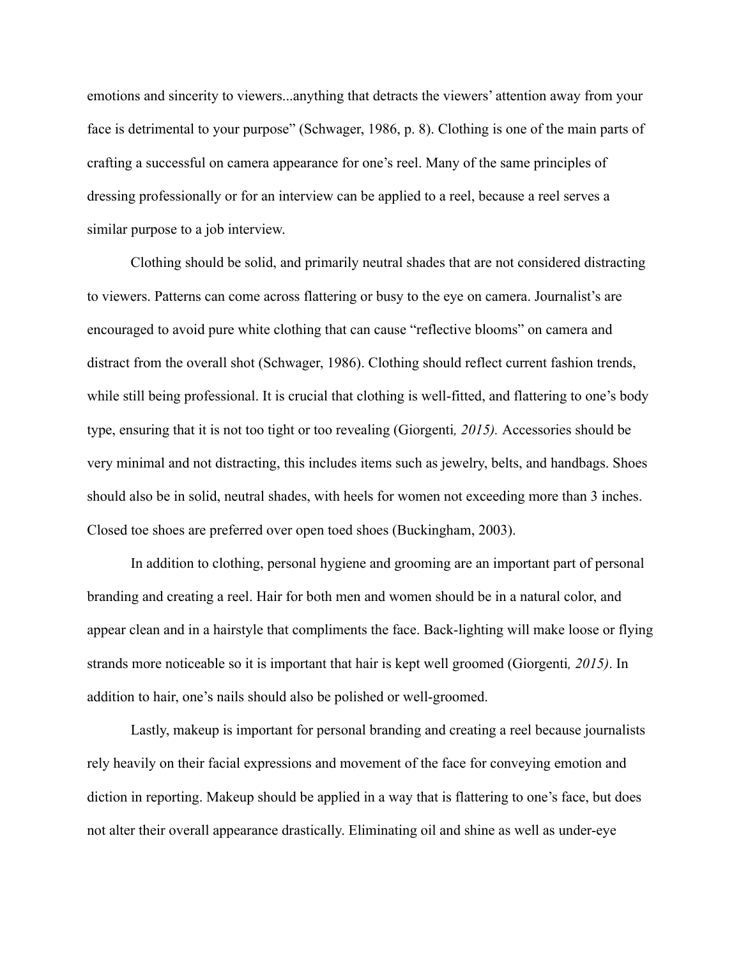emotions and sincerity to viewers...anything that detracts the viewers' attention away from your face is detrimental to your purpose" (Schwager, 1986, p. 8). Clothing is one of the main parts of crafting a successful on camera appearance for one's reel. Many of the same principles of dressing professionally or for an interview can be applied to a reel, because a reel serves a similar purpose to a job interview.

Clothing should be solid, and primarily neutral shades that are not considered distracting to viewers. Patterns can come across flattering or busy to the eye on camera. Journalist's are encouraged to avoid pure white clothing that can cause "reflective blooms" on camera and distract from the overall shot (Schwager, 1986). Clothing should reflect current fashion trends, while still being professional. It is crucial that clothing is well-fitted, and flattering to one's body type, ensuring that it is not too tight or too revealing (Giorgenti*, 2015).* Accessories should be very minimal and not distracting, this includes items such as jewelry, belts, and handbags. Shoes should also be in solid, neutral shades, with heels for women not exceeding more than 3 inches. Closed toe shoes are preferred over open toed shoes (Buckingham, 2003).

In addition to clothing, personal hygiene and grooming are an important part of personal branding and creating a reel. Hair for both men and women should be in a natural color, and appear clean and in a hairstyle that compliments the face. Back-lighting will make loose or flying strands more noticeable so it is important that hair is kept well groomed (Giorgenti*, 2015)*. In addition to hair, one's nails should also be polished or well-groomed.

Lastly, makeup is important for personal branding and creating a reel because journalists rely heavily on their facial expressions and movement of the face for conveying emotion and diction in reporting. Makeup should be applied in a way that is flattering to one's face, but does not alter their overall appearance drastically. Eliminating oil and shine as well as under-eye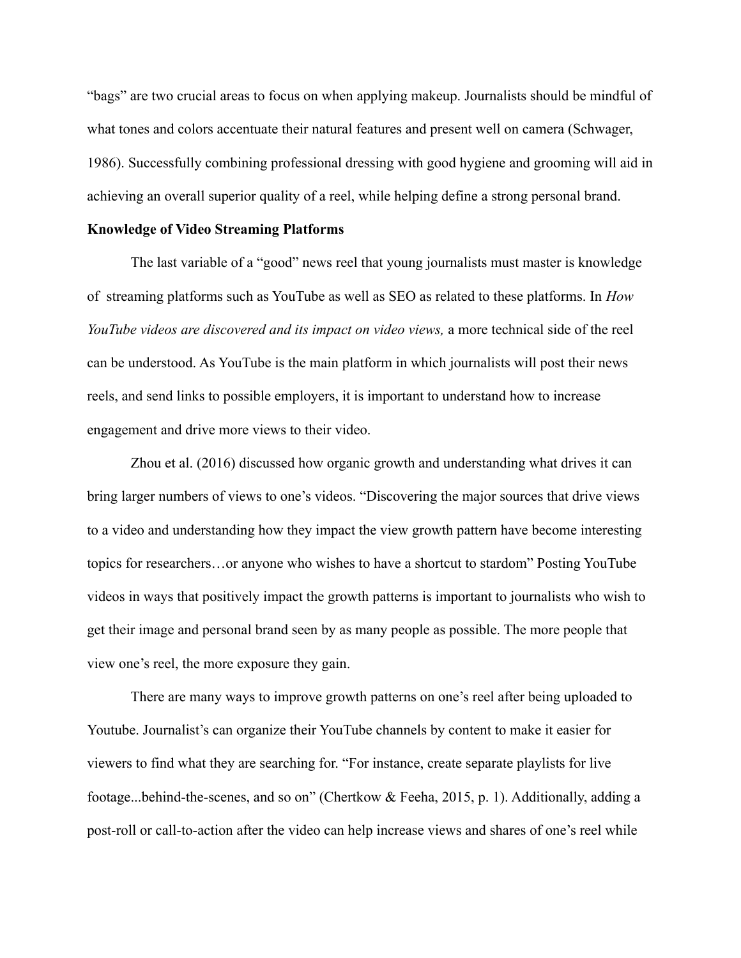"bags" are two crucial areas to focus on when applying makeup. Journalists should be mindful of what tones and colors accentuate their natural features and present well on camera (Schwager, 1986). Successfully combining professional dressing with good hygiene and grooming will aid in achieving an overall superior quality of a reel, while helping define a strong personal brand.

#### **Knowledge of Video Streaming Platforms**

The last variable of a "good" news reel that young journalists must master is knowledge of streaming platforms such as YouTube as well as SEO as related to these platforms. In *How YouTube videos are discovered and its impact on video views,* a more technical side of the reel can be understood. As YouTube is the main platform in which journalists will post their news reels, and send links to possible employers, it is important to understand how to increase engagement and drive more views to their video.

Zhou et al. (2016) discussed how organic growth and understanding what drives it can bring larger numbers of views to one's videos. "Discovering the major sources that drive views to a video and understanding how they impact the view growth pattern have become interesting topics for researchers…or anyone who wishes to have a shortcut to stardom" Posting YouTube videos in ways that positively impact the growth patterns is important to journalists who wish to get their image and personal brand seen by as many people as possible. The more people that view one's reel, the more exposure they gain.

There are many ways to improve growth patterns on one's reel after being uploaded to Youtube. Journalist's can organize their YouTube channels by content to make it easier for viewers to find what they are searching for. "For instance, create separate playlists for live footage...behind-the-scenes, and so on" (Chertkow & Feeha, 2015, p. 1). Additionally, adding a post-roll or call-to-action after the video can help increase views and shares of one's reel while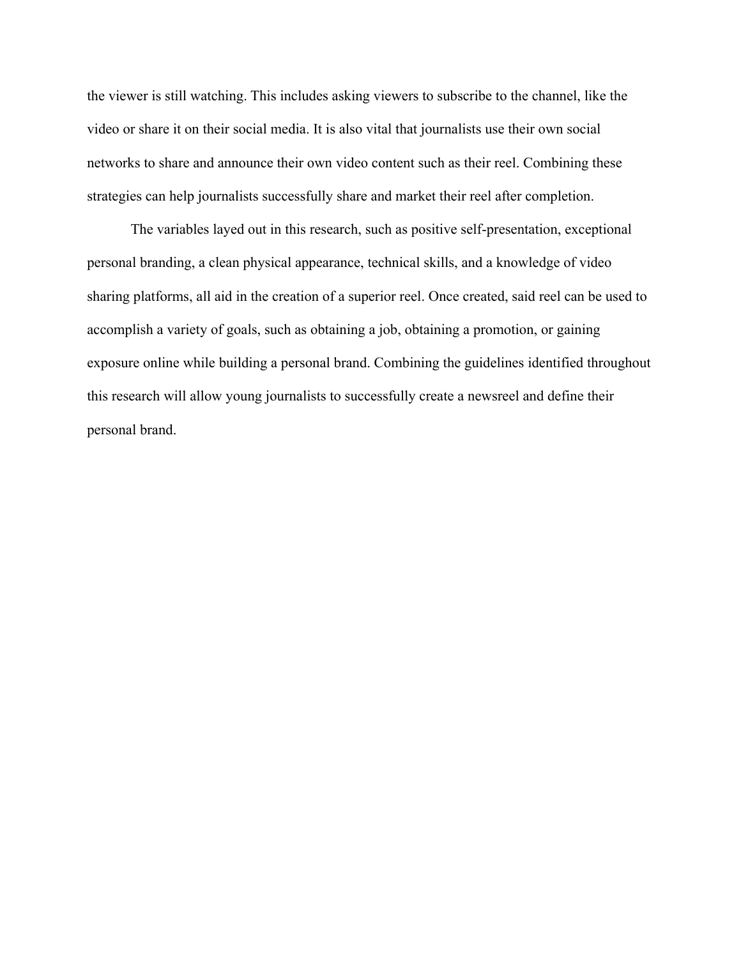the viewer is still watching. This includes asking viewers to subscribe to the channel, like the video or share it on their social media. It is also vital that journalists use their own social networks to share and announce their own video content such as their reel. Combining these strategies can help journalists successfully share and market their reel after completion.

The variables layed out in this research, such as positive self-presentation, exceptional personal branding, a clean physical appearance, technical skills, and a knowledge of video sharing platforms, all aid in the creation of a superior reel. Once created, said reel can be used to accomplish a variety of goals, such as obtaining a job, obtaining a promotion, or gaining exposure online while building a personal brand. Combining the guidelines identified throughout this research will allow young journalists to successfully create a newsreel and define their personal brand.